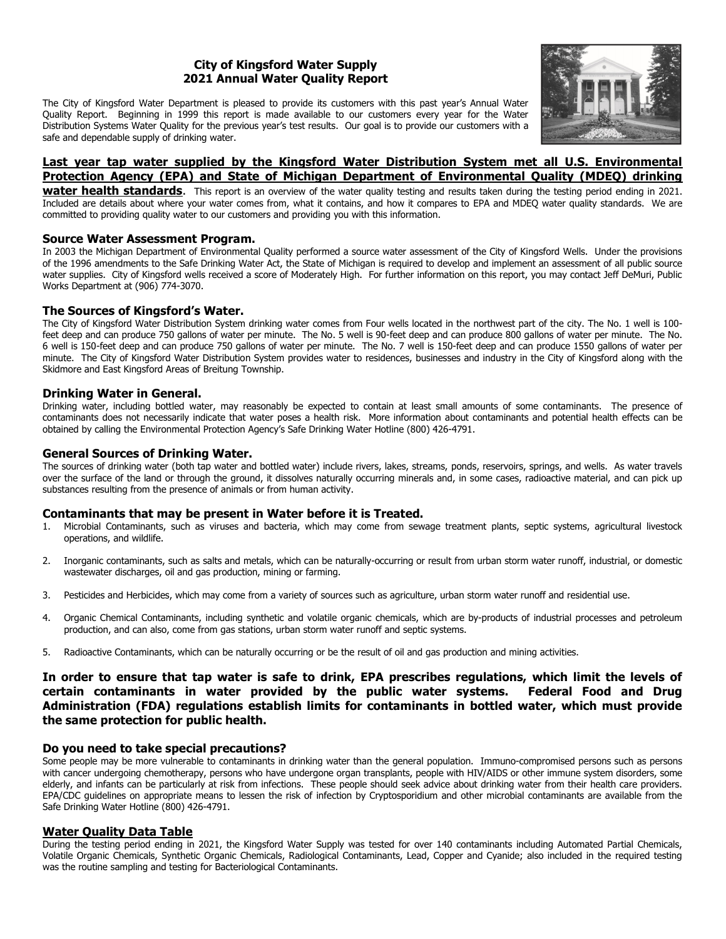# City of Kingsford Water Supply 2021 Annual Water Quality Report

The City of Kingsford Water Department is pleased to provide its customers with this past year's Annual Water Quality Report. Beginning in 1999 this report is made available to our customers every year for the Water Distribution Systems Water Quality for the previous year's test results. Our goal is to provide our customers with a safe and dependable supply of drinking water.



# Last year tap water supplied by the Kingsford Water Distribution System met all U.S. Environmental Protection Agency (EPA) and State of Michigan Department of Environmental Quality (MDEQ) drinking

**water health standards.** This report is an overview of the water quality testing and results taken during the testing period ending in 2021. Included are details about where your water comes from, what it contains, and how it compares to EPA and MDEQ water quality standards. We are committed to providing quality water to our customers and providing you with this information.

## Source Water Assessment Program.

In 2003 the Michigan Department of Environmental Quality performed a source water assessment of the City of Kingsford Wells. Under the provisions of the 1996 amendments to the Safe Drinking Water Act, the State of Michigan is required to develop and implement an assessment of all public source water supplies. City of Kingsford wells received a score of Moderately High. For further information on this report, you may contact Jeff DeMuri, Public Works Department at (906) 774-3070.

## The Sources of Kingsford's Water.

The City of Kingsford Water Distribution System drinking water comes from Four wells located in the northwest part of the city. The No. 1 well is 100 feet deep and can produce 750 gallons of water per minute. The No. 5 well is 90-feet deep and can produce 800 gallons of water per minute. The No. 6 well is 150-feet deep and can produce 750 gallons of water per minute. The No. 7 well is 150-feet deep and can produce 1550 gallons of water per minute. The City of Kingsford Water Distribution System provides water to residences, businesses and industry in the City of Kingsford along with the Skidmore and East Kingsford Areas of Breitung Township.

## Drinking Water in General.

Drinking water, including bottled water, may reasonably be expected to contain at least small amounts of some contaminants. The presence of contaminants does not necessarily indicate that water poses a health risk. More information about contaminants and potential health effects can be obtained by calling the Environmental Protection Agency's Safe Drinking Water Hotline (800) 426-4791.

## General Sources of Drinking Water.

The sources of drinking water (both tap water and bottled water) include rivers, lakes, streams, ponds, reservoirs, springs, and wells. As water travels over the surface of the land or through the ground, it dissolves naturally occurring minerals and, in some cases, radioactive material, and can pick up substances resulting from the presence of animals or from human activity.

# Contaminants that may be present in Water before it is Treated.

- 1. Microbial Contaminants, such as viruses and bacteria, which may come from sewage treatment plants, septic systems, agricultural livestock operations, and wildlife.
- 2. Inorganic contaminants, such as salts and metals, which can be naturally-occurring or result from urban storm water runoff, industrial, or domestic wastewater discharges, oil and gas production, mining or farming.
- 3. Pesticides and Herbicides, which may come from a variety of sources such as agriculture, urban storm water runoff and residential use.
- 4. Organic Chemical Contaminants, including synthetic and volatile organic chemicals, which are by-products of industrial processes and petroleum production, and can also, come from gas stations, urban storm water runoff and septic systems.
- 5. Radioactive Contaminants, which can be naturally occurring or be the result of oil and gas production and mining activities.

In order to ensure that tap water is safe to drink, EPA prescribes regulations, which limit the levels of certain contaminants in water provided by the public water systems. Federal Food and Drug Administration (FDA) regulations establish limits for contaminants in bottled water, which must provide the same protection for public health.

### Do you need to take special precautions?

Some people may be more vulnerable to contaminants in drinking water than the general population. Immuno-compromised persons such as persons with cancer undergoing chemotherapy, persons who have undergone organ transplants, people with HIV/AIDS or other immune system disorders, some elderly, and infants can be particularly at risk from infections. These people should seek advice about drinking water from their health care providers. EPA/CDC guidelines on appropriate means to lessen the risk of infection by Cryptosporidium and other microbial contaminants are available from the Safe Drinking Water Hotline (800) 426-4791.

# Water Quality Data Table

During the testing period ending in 2021, the Kingsford Water Supply was tested for over 140 contaminants including Automated Partial Chemicals, Volatile Organic Chemicals, Synthetic Organic Chemicals, Radiological Contaminants, Lead, Copper and Cyanide; also included in the required testing was the routine sampling and testing for Bacteriological Contaminants.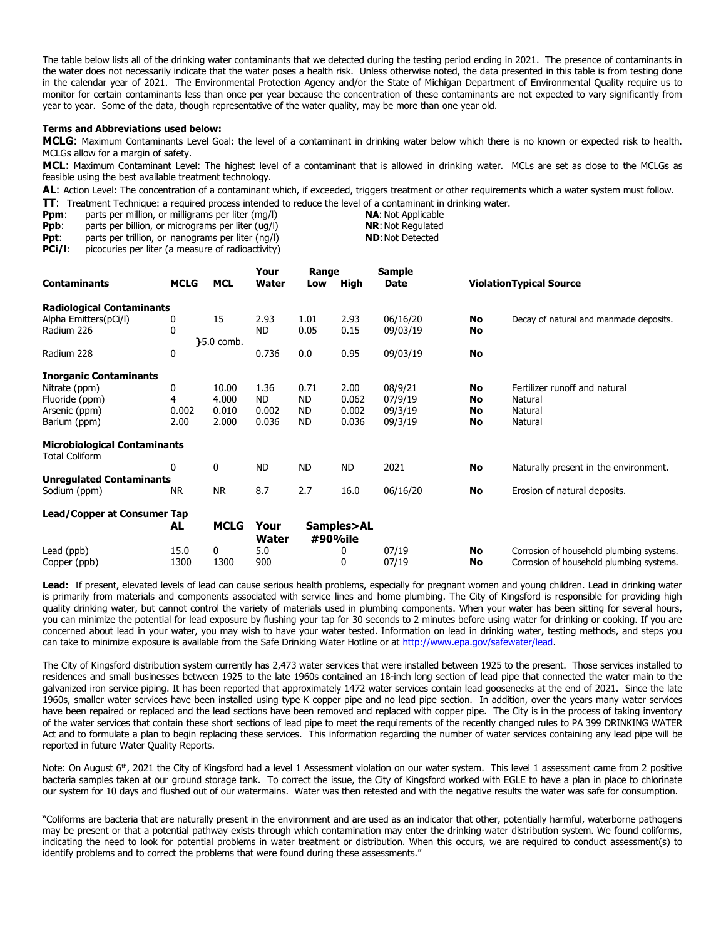The table below lists all of the drinking water contaminants that we detected during the testing period ending in 2021. The presence of contaminants in the water does not necessarily indicate that the water poses a health risk. Unless otherwise noted, the data presented in this table is from testing done in the calendar year of 2021. The Environmental Protection Agency and/or the State of Michigan Department of Environmental Quality require us to monitor for certain contaminants less than once per year because the concentration of these contaminants are not expected to vary significantly from year to year. Some of the data, though representative of the water quality, may be more than one year old.

### Terms and Abbreviations used below:

MCLG: Maximum Contaminants Level Goal: the level of a contaminant in drinking water below which there is no known or expected risk to health. MCLGs allow for a margin of safety.

MCL: Maximum Contaminant Level: The highest level of a contaminant that is allowed in drinking water. MCLs are set as close to the MCLGs as feasible using the best available treatment technology.

AL: Action Level: The concentration of a contaminant which, if exceeded, triggers treatment or other requirements which a water system must follow. **TT:** Treatment Technique: a required process intended to reduce the level of a contaminant in drinking water.<br>**Ppm:** parts per million, or milligrams per liter (mg/l) **NA:** Not Applicable

Ppm: parts per million, or milligrams per liter (mg/l)

**Ppb:** parts per billion, or micrograms per liter (ug/l) **NR:** Not Regulated

**Ppt:** parts per trillion, or nanograms per liter  $(ng/l)$  **ND:** Not Detected **PCi/l:** picocuries per liter (a measure of radioactivity)

picocuries per liter (a measure of radioactivity)

|                                                              |             | <b>MCL</b>   | Your          | Range                 |           | <b>Sample</b> |                                |                                          |
|--------------------------------------------------------------|-------------|--------------|---------------|-----------------------|-----------|---------------|--------------------------------|------------------------------------------|
| <b>Contaminants</b>                                          | <b>MCLG</b> |              | Water         | Low                   | High      | Date          | <b>ViolationTypical Source</b> |                                          |
| <b>Radiological Contaminants</b>                             |             |              |               |                       |           |               |                                |                                          |
| Alpha Emitters(pCi/l)                                        | 0           | 15           | 2.93          | 1.01                  | 2.93      | 06/16/20      | No                             | Decay of natural and manmade deposits.   |
| Radium 226                                                   | 0           |              | ND.           | 0.05                  | 0.15      | 09/03/19      | No                             |                                          |
|                                                              |             | $35.0$ comb. |               |                       |           |               |                                |                                          |
| Radium 228                                                   | 0           |              | 0.736         | 0.0                   | 0.95      | 09/03/19      | No                             |                                          |
| <b>Inorganic Contaminants</b>                                |             |              |               |                       |           |               |                                |                                          |
| Nitrate (ppm)                                                | 0           | 10.00        | 1.36          | 0.71                  | 2.00      | 08/9/21       | No                             | Fertilizer runoff and natural            |
| Fluoride (ppm)                                               | 4           | 4.000        | ND.           | <b>ND</b>             | 0.062     | 07/9/19       | No                             | Natural                                  |
| Arsenic (ppm)                                                | 0.002       | 0.010        | 0.002         | ND                    | 0.002     | 09/3/19       | No                             | Natural                                  |
| Barium (ppm)                                                 | 2.00        | 2.000        | 0.036         | ND                    | 0.036     | 09/3/19       | No                             | Natural                                  |
| <b>Microbiological Contaminants</b><br><b>Total Coliform</b> |             |              |               |                       |           |               |                                |                                          |
|                                                              | 0           | 0            | <b>ND</b>     | <b>ND</b>             | <b>ND</b> | 2021          | No                             | Naturally present in the environment.    |
| <b>Unregulated Contaminants</b>                              |             |              |               |                       |           |               |                                |                                          |
| Sodium (ppm)                                                 | <b>NR</b>   | <b>NR</b>    | 8.7           | 2.7                   | 16.0      | 06/16/20      | No                             | Erosion of natural deposits.             |
| Lead/Copper at Consumer Tap                                  |             |              |               |                       |           |               |                                |                                          |
|                                                              | AL          | <b>MCLG</b>  | Your<br>Water | Samples>AL<br>#90%ile |           |               |                                |                                          |
| Lead (ppb)                                                   | 15.0        | 0            | 5.0           |                       | 0         | 07/19         | No                             | Corrosion of household plumbing systems. |
| Copper (ppb)                                                 | 1300        | 1300         | 900           |                       | 0         | 07/19         | No                             | Corrosion of household plumbing systems. |

Lead: If present, elevated levels of lead can cause serious health problems, especially for pregnant women and young children. Lead in drinking water is primarily from materials and components associated with service lines and home plumbing. The City of Kingsford is responsible for providing high quality drinking water, but cannot control the variety of materials used in plumbing components. When your water has been sitting for several hours, you can minimize the potential for lead exposure by flushing your tap for 30 seconds to 2 minutes before using water for drinking or cooking. If you are concerned about lead in your water, you may wish to have your water tested. Information on lead in drinking water, testing methods, and steps you can take to minimize exposure is available from the Safe Drinking Water Hotline or at [http://www.epa.gov/safewater/lead.](http://www.epa.gov/safewater/lead) 

The City of Kingsford distribution system currently has 2,473 water services that were installed between 1925 to the present. Those services installed to residences and small businesses between 1925 to the late 1960s contained an 18-inch long section of lead pipe that connected the water main to the galvanized iron service piping. It has been reported that approximately 1472 water services contain lead goosenecks at the end of 2021. Since the late 1960s, smaller water services have been installed using type K copper pipe and no lead pipe section. In addition, over the years many water services have been repaired or replaced and the lead sections have been removed and replaced with copper pipe. The City is in the process of taking inventory of the water services that contain these short sections of lead pipe to meet the requirements of the recently changed rules to PA 399 DRINKING WATER Act and to formulate a plan to begin replacing these services. This information regarding the number of water services containing any lead pipe will be reported in future Water Quality Reports.

Note: On August 6<sup>th</sup>, 2021 the City of Kingsford had a level 1 Assessment violation on our water system. This level 1 assessment came from 2 positive bacteria samples taken at our ground storage tank. To correct the issue, the City of Kingsford worked with EGLE to have a plan in place to chlorinate our system for 10 days and flushed out of our watermains. Water was then retested and with the negative results the water was safe for consumption.

"Coliforms are bacteria that are naturally present in the environment and are used as an indicator that other, potentially harmful, waterborne pathogens may be present or that a potential pathway exists through which contamination may enter the drinking water distribution system. We found coliforms, indicating the need to look for potential problems in water treatment or distribution. When this occurs, we are required to conduct assessment(s) to identify problems and to correct the problems that were found during these assessments."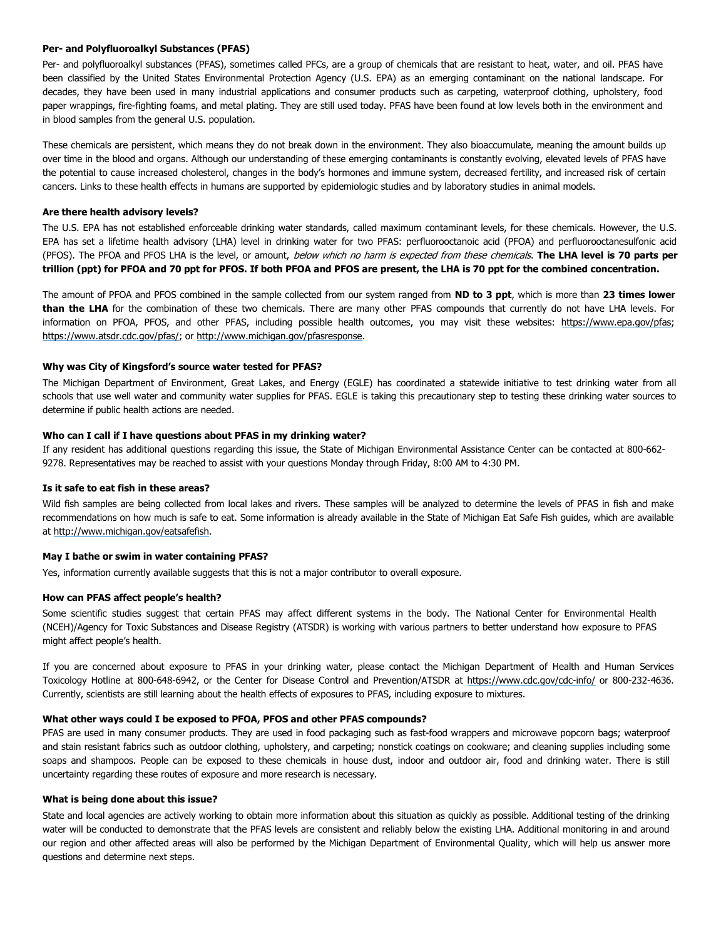### Per- and Polyfluoroalkyl Substances (PFAS)

Per- and polyfluoroalkyl substances (PFAS), sometimes called PFCs, are a group of chemicals that are resistant to heat, water, and oil. PFAS have been classified by the United States Environmental Protection Agency (U.S. EPA) as an emerging contaminant on the national landscape. For decades, they have been used in many industrial applications and consumer products such as carpeting, waterproof clothing, upholstery, food paper wrappings, fire-fighting foams, and metal plating. They are still used today. PFAS have been found at low levels both in the environment and in blood samples from the general U.S. population.

These chemicals are persistent, which means they do not break down in the environment. They also bioaccumulate, meaning the amount builds up over time in the blood and organs. Although our understanding of these emerging contaminants is constantly evolving, elevated levels of PFAS have the potential to cause increased cholesterol, changes in the body's hormones and immune system, decreased fertility, and increased risk of certain cancers. Links to these health effects in humans are supported by epidemiologic studies and by laboratory studies in animal models.

#### Are there health advisory levels?

The U.S. EPA has not established enforceable drinking water standards, called maximum contaminant levels, for these chemicals. However, the U.S. EPA has set a lifetime health advisory (LHA) level in drinking water for two PFAS: perfluorooctanoic acid (PFOA) and perfluorooctanesulfonic acid (PFOS). The PFOA and PFOS LHA is the level, or amount, below which no harm is expected from these chemicals. The LHA level is 70 parts per trillion (ppt) for PFOA and 70 ppt for PFOS. If both PFOA and PFOS are present, the LHA is 70 ppt for the combined concentration.

The amount of PFOA and PFOS combined in the sample collected from our system ranged from ND to 3 ppt, which is more than 23 times lower than the LHA for the combination of these two chemicals. There are many other PFAS compounds that currently do not have LHA levels. For information on PFOA, PFOS, and other PFAS, including possible health outcomes, you may visit these websites: [https://www.epa.gov/pfas;](https://www.epa.gov/pfas)  [https://www.atsdr.cdc.gov/pfas/; or](https://www.atsdr.cdc.gov/pfas/) [http://www.michigan.gov/pfasresponse.](http://www.michigan.gov/pfasresponse) 

#### Why was City of Kingsford's source water tested for PFAS?

The Michigan Department of Environment, Great Lakes, and Energy (EGLE) has coordinated a statewide initiative to test drinking water from all schools that use well water and community water supplies for PFAS. EGLE is taking this precautionary step to testing these drinking water sources to determine if public health actions are needed.

### Who can I call if I have questions about PFAS in my drinking water?

If any resident has additional questions regarding this issue, the State of Michigan Environmental Assistance Center can be contacted at 800-662- 9278. Representatives may be reached to assist with your questions Monday through Friday, 8:00 AM to 4:30 PM.

### Is it safe to eat fish in these areas?

Wild fish samples are being collected from local lakes and rivers. These samples will be analyzed to determine the levels of PFAS in fish and make recommendations on how much is safe to eat. Some information is already available in the State of Michigan Eat Safe Fish guides, which are available at [http://www.michigan.gov/eatsafefish.](http://www.michigan.gov/eatsafefish) 

#### May I bathe or swim in water containing PFAS?

Yes, information currently available suggests that this is not a major contributor to overall exposure.

#### How can PFAS affect people's health?

Some scientific studies suggest that certain PFAS may affect different systems in the body. The National Center for Environmental Health (NCEH)/Agency for Toxic Substances and Disease Registry (ATSDR) is working with various partners to better understand how exposure to PFAS might affect people's health.

If you are concerned about exposure to PFAS in your drinking water, please contact the Michigan Department of Health and Human Services Toxicology Hotline at 800-648-6942, or the Center for Disease Control and Prevention/ATSDR at [https://www.cdc.gov/cdc-info/ o](https://www.cdc.gov/cdc-info/)r 800-232-4636. Currently, scientists are still learning about the health effects of exposures to PFAS, including exposure to mixtures.

#### What other ways could I be exposed to PFOA, PFOS and other PFAS compounds?

PFAS are used in many consumer products. They are used in food packaging such as fast-food wrappers and microwave popcorn bags; waterproof and stain resistant fabrics such as outdoor clothing, upholstery, and carpeting; nonstick coatings on cookware; and cleaning supplies including some soaps and shampoos. People can be exposed to these chemicals in house dust, indoor and outdoor air, food and drinking water. There is still uncertainty regarding these routes of exposure and more research is necessary.

#### What is being done about this issue?

State and local agencies are actively working to obtain more information about this situation as quickly as possible. Additional testing of the drinking water will be conducted to demonstrate that the PFAS levels are consistent and reliably below the existing LHA. Additional monitoring in and around our region and other affected areas will also be performed by the Michigan Department of Environmental Quality, which will help us answer more questions and determine next steps.